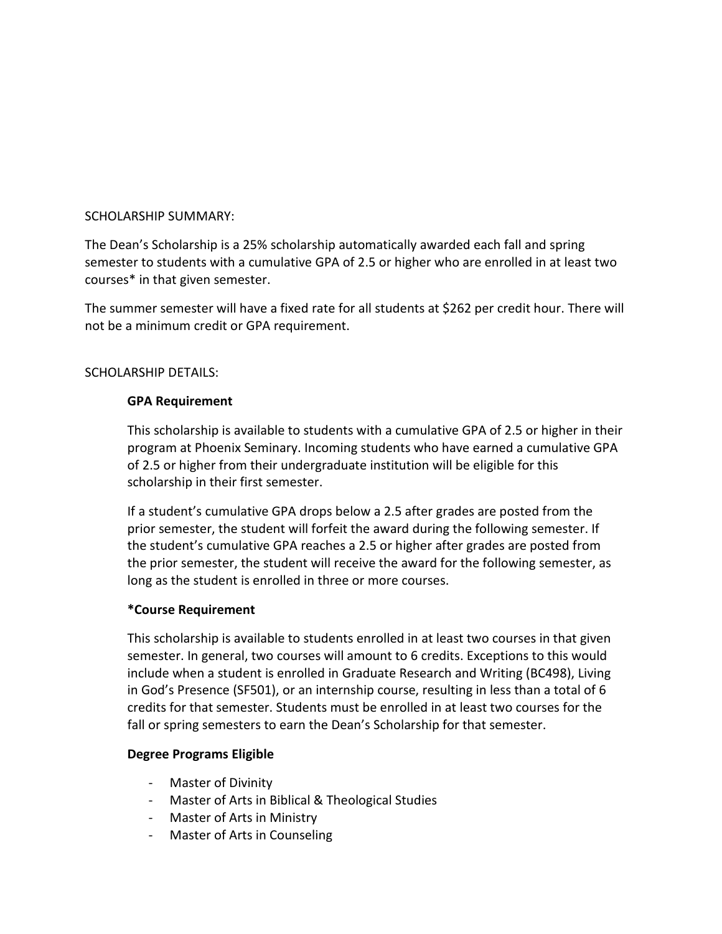## SCHOLARSHIP SUMMARY:

The Dean's Scholarship is a 25% scholarship automatically awarded each fall and spring semester to students with a cumulative GPA of 2.5 or higher who are enrolled in at least two courses\* in that given semester.

The summer semester will have a fixed rate for all students at \$262 per credit hour. There will not be a minimum credit or GPA requirement.

# SCHOLARSHIP DETAILS:

## **GPA Requirement**

This scholarship is available to students with a cumulative GPA of 2.5 or higher in their program at Phoenix Seminary. Incoming students who have earned a cumulative GPA of 2.5 or higher from their undergraduate institution will be eligible for this scholarship in their first semester.

If a student's cumulative GPA drops below a 2.5 after grades are posted from the prior semester, the student will forfeit the award during the following semester. If the student's cumulative GPA reaches a 2.5 or higher after grades are posted from the prior semester, the student will receive the award for the following semester, as long as the student is enrolled in three or more courses.

### **\*Course Requirement**

This scholarship is available to students enrolled in at least two courses in that given semester. In general, two courses will amount to 6 credits. Exceptions to this would include when a student is enrolled in Graduate Research and Writing (BC498), Living in God's Presence (SF501), or an internship course, resulting in less than a total of 6 credits for that semester. Students must be enrolled in at least two courses for the fall or spring semesters to earn the Dean's Scholarship for that semester.

# **Degree Programs Eligible**

- Master of Divinity
- Master of Arts in Biblical & Theological Studies
- Master of Arts in Ministry
- Master of Arts in Counseling